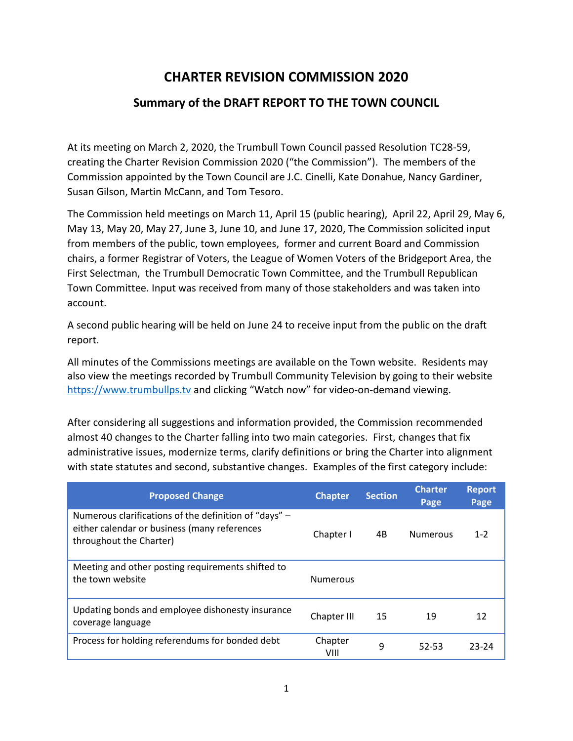## **CHARTER REVISION COMMISSION 2020**

## **Summary of the DRAFT REPORT TO THE TOWN COUNCIL**

At its meeting on March 2, 2020, the Trumbull Town Council passed Resolution TC28-59, creating the Charter Revision Commission 2020 ("the Commission"). The members of the Commission appointed by the Town Council are J.C. Cinelli, Kate Donahue, Nancy Gardiner, Susan Gilson, Martin McCann, and Tom Tesoro.

The Commission held meetings on March 11, April 15 (public hearing), April 22, April 29, May 6, May 13, May 20, May 27, June 3, June 10, and June 17, 2020, The Commission solicited input from members of the public, town employees, former and current Board and Commission chairs, a former Registrar of Voters, the League of Women Voters of the Bridgeport Area, the First Selectman, the Trumbull Democratic Town Committee, and the Trumbull Republican Town Committee. Input was received from many of those stakeholders and was taken into account.

A second public hearing will be held on June 24 to receive input from the public on the draft report.

All minutes of the Commissions meetings are available on the Town website. Residents may also view the meetings recorded by Trumbull Community Television by going to their website [https://www.trumbullps.tv](https://www.trumbullps.tv/) and clicking "Watch now" for video-on-demand viewing.

After considering all suggestions and information provided, the Commission recommended almost 40 changes to the Charter falling into two main categories. First, changes that fix administrative issues, modernize terms, clarify definitions or bring the Charter into alignment with state statutes and second, substantive changes. Examples of the first category include:

| <b>Proposed Change</b>                                                                                                           | <b>Chapter</b>  | <b>Section</b> | <b>Charter</b><br>Page | <b>Report</b><br>Page |
|----------------------------------------------------------------------------------------------------------------------------------|-----------------|----------------|------------------------|-----------------------|
| Numerous clarifications of the definition of "days" -<br>either calendar or business (many references<br>throughout the Charter) | Chapter I       | 4B             | <b>Numerous</b>        | $1 - 2$               |
| Meeting and other posting requirements shifted to<br>the town website                                                            | <b>Numerous</b> |                |                        |                       |
| Updating bonds and employee dishonesty insurance<br>coverage language                                                            | Chapter III     | 15             | 19                     | 12                    |
| Process for holding referendums for bonded debt                                                                                  | Chapter<br>VIII | 9              | 52-53                  | 23-24                 |